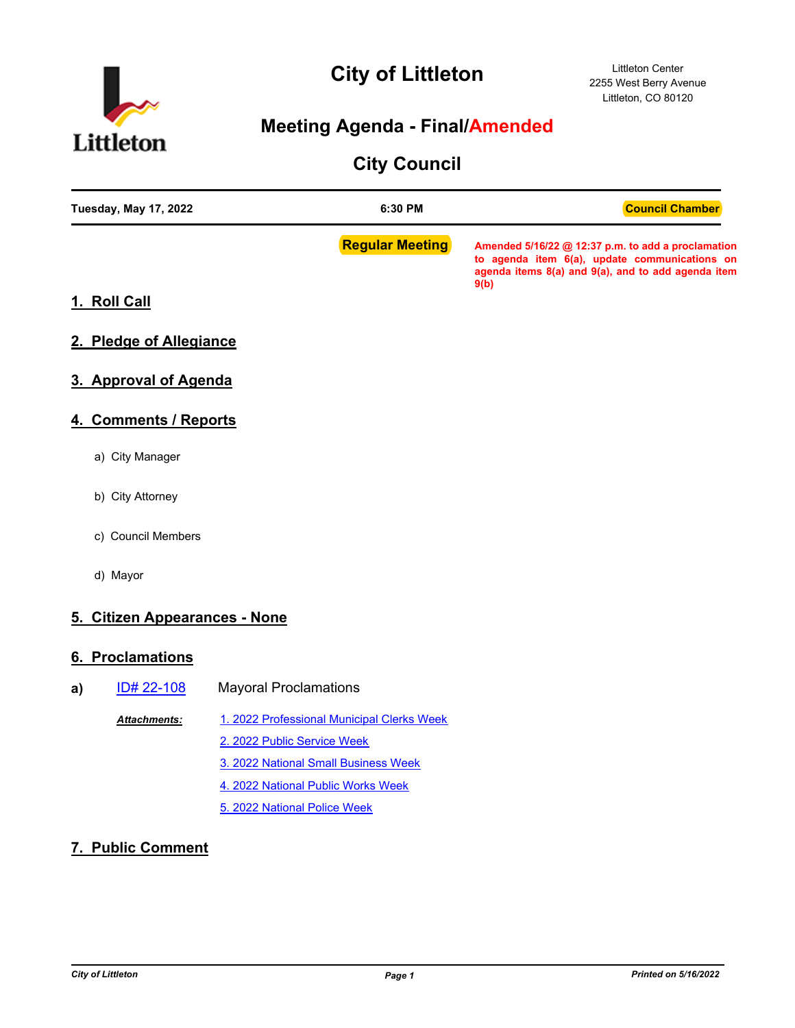

# **City of Littleton**

### **Meeting Agenda - Final/Amended**

## **City Council**

| <b>Tuesday, May 17, 2022</b>  | 6:30 PM                                    | <b>Council Chamber</b>                                                                                                                                            |
|-------------------------------|--------------------------------------------|-------------------------------------------------------------------------------------------------------------------------------------------------------------------|
|                               | <b>Regular Meeting</b>                     | Amended 5/16/22 @ 12:37 p.m. to add a proclamation<br>to agenda item 6(a), update communications on<br>agenda items 8(a) and 9(a), and to add agenda item<br>9(b) |
| 1. Roll Call                  |                                            |                                                                                                                                                                   |
| 2. Pledge of Allegiance       |                                            |                                                                                                                                                                   |
| 3. Approval of Agenda         |                                            |                                                                                                                                                                   |
| 4. Comments / Reports         |                                            |                                                                                                                                                                   |
| a) City Manager               |                                            |                                                                                                                                                                   |
| b) City Attorney              |                                            |                                                                                                                                                                   |
| c) Council Members            |                                            |                                                                                                                                                                   |
| d) Mayor                      |                                            |                                                                                                                                                                   |
| 5. Citizen Appearances - None |                                            |                                                                                                                                                                   |
| 6. Proclamations              |                                            |                                                                                                                                                                   |
| ID# 22-108<br>a)              | <b>Mayoral Proclamations</b>               |                                                                                                                                                                   |
| Attachments:                  | 1. 2022 Professional Municipal Clerks Week |                                                                                                                                                                   |
|                               | 2. 2022 Public Service Week                |                                                                                                                                                                   |
|                               | 3. 2022 National Small Business Week       |                                                                                                                                                                   |
|                               | 4. 2022 National Public Works Week         |                                                                                                                                                                   |
|                               | 5. 2022 National Police Week               |                                                                                                                                                                   |
| 7. Public Comment             |                                            |                                                                                                                                                                   |